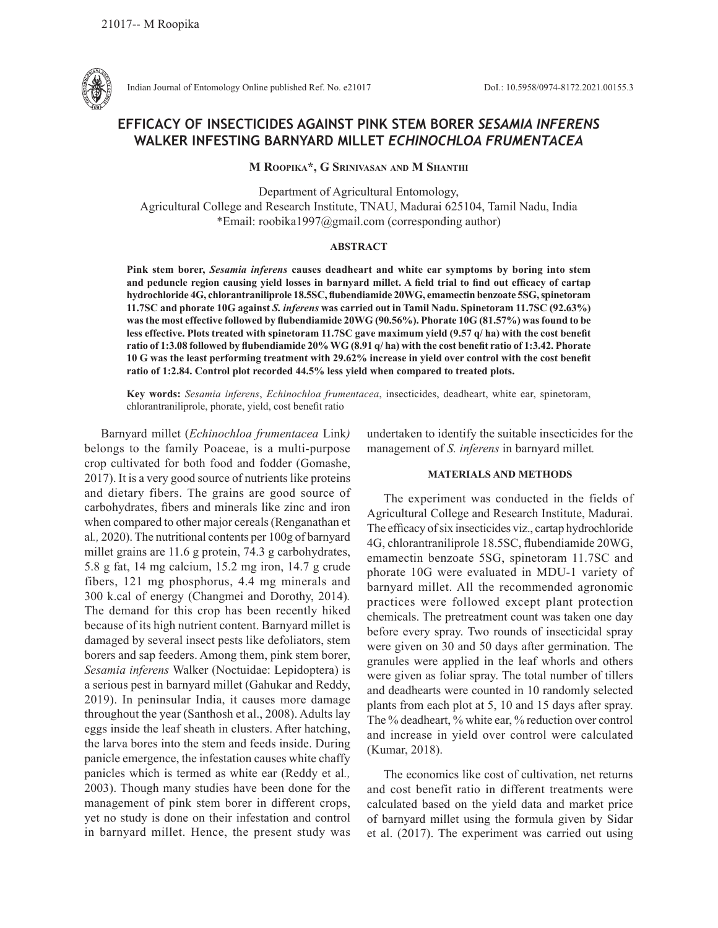

Indian Journal of Entomology Online published Ref. No. e21017 DoI.: 10.5958/0974-8172.2021.00155.3

# **EFFICACY OF INSECTICIDES AGAINST PINK STEM BORER** *SESAMIA INFERENS*  **WALKER INFESTING BARNYARD MILLET** *ECHINOCHLOA FRUMENTACEA*

**M Roopika\*, G Srinivasan and M Shanthi**

Department of Agricultural Entomology, Agricultural College and Research Institute, TNAU, Madurai 625104, Tamil Nadu, India \*Email: roobika1997@gmail.com (corresponding author)

## **ABSTRACT**

**Pink stem borer,** *Sesamia inferens* **causes deadheart and white ear symptoms by boring into stem and peduncle region causing yield losses in barnyard millet. A field trial to find out efficacy of cartap hydrochloride 4G, chlorantraniliprole 18.5SC, flubendiamide 20WG, emamectin benzoate 5SG, spinetoram 11.7SC and phorate 10G against** *S. inferens* **was carried out in Tamil Nadu. Spinetoram 11.7SC (92.63%) was the most effective followed by flubendiamide 20WG (90.56%). Phorate 10G (81.57%) was found to be less effective. Plots treated with spinetoram 11.7SC gave maximum yield (9.57 q/ ha) with the cost benefit ratio of 1:3.08 followed by flubendiamide 20% WG (8.91 q/ ha) with the cost benefit ratio of 1:3.42. Phorate 10 G was the least performing treatment with 29.62% increase in yield over control with the cost benefit ratio of 1:2.84. Control plot recorded 44.5% less yield when compared to treated plots.**

**Key words:** *Sesamia inferens*, *Echinochloa frumentacea*, insecticides, deadheart, white ear, spinetoram, chlorantraniliprole, phorate, yield, cost benefit ratio

Barnyard millet (*Echinochloa frumentacea* Link*)*  belongs to the family Poaceae, is a multi-purpose crop cultivated for both food and fodder (Gomashe, 2017). It is a very good source of nutrients like proteins and dietary fibers. The grains are good source of carbohydrates, fibers and minerals like zinc and iron when compared to other major cereals (Renganathan et al*.,* 2020). The nutritional contents per 100g of barnyard millet grains are 11.6 g protein, 74.3 g carbohydrates, 5.8 g fat, 14 mg calcium, 15.2 mg iron, 14.7 g crude fibers, 121 mg phosphorus, 4.4 mg minerals and 300 k.cal of energy (Changmei and Dorothy, 2014)*.*  The demand for this crop has been recently hiked because of its high nutrient content. Barnyard millet is damaged by several insect pests like defoliators, stem borers and sap feeders. Among them, pink stem borer, *Sesamia inferens* Walker (Noctuidae: Lepidoptera) is a serious pest in barnyard millet (Gahukar and Reddy, 2019). In peninsular India, it causes more damage throughout the year (Santhosh et al., 2008). Adults lay eggs inside the leaf sheath in clusters. After hatching, the larva bores into the stem and feeds inside. During panicle emergence, the infestation causes white chaffy panicles which is termed as white ear (Reddy et al*.,*  2003). Though many studies have been done for the management of pink stem borer in different crops, yet no study is done on their infestation and control in barnyard millet. Hence, the present study was undertaken to identify the suitable insecticides for the management of *S. inferens* in barnyard millet*.*

### **MATERIALS AND METHODS**

The experiment was conducted in the fields of Agricultural College and Research Institute, Madurai. The efficacy of six insecticides viz., cartap hydrochloride 4G, chlorantraniliprole 18.5SC, flubendiamide 20WG, emamectin benzoate 5SG, spinetoram 11.7SC and phorate 10G were evaluated in MDU-1 variety of barnyard millet. All the recommended agronomic practices were followed except plant protection chemicals. The pretreatment count was taken one day before every spray. Two rounds of insecticidal spray were given on 30 and 50 days after germination. The granules were applied in the leaf whorls and others were given as foliar spray. The total number of tillers and deadhearts were counted in 10 randomly selected plants from each plot at 5, 10 and 15 days after spray. The % deadheart, % white ear, % reduction over control and increase in yield over control were calculated (Kumar, 2018).

The economics like cost of cultivation, net returns and cost benefit ratio in different treatments were calculated based on the yield data and market price of barnyard millet using the formula given by Sidar et al. (2017). The experiment was carried out using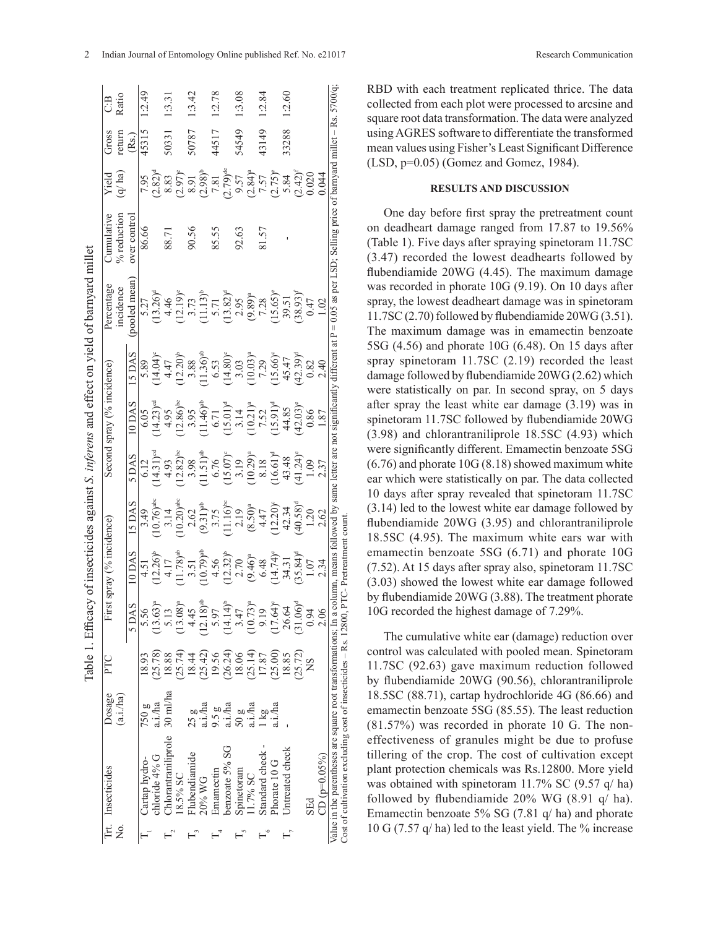| $\begin{array}{l} 6.05 \\ (14.23)^\text{st} \\ (14.95) \\ (13.86)^\text{bs} \\ (14.67) \\ (14.61) \\ (15.01) \\ (15.01) \\ (16.21) \\ (17.52) \\ (19.485) \\ (19.21) \\ (19.21) \\ (19.31) \\ (19.31) \\ (19.32) \\ (19.33) \\ (19.33) \\ (19.33) \\ (19.33) \\ (19.33) \\ (19.33) \\ (19.33) \\ (19.33) \\ (19.33) \\ (19.$<br>0.86<br>1.87 | 1.20 |                      | $\begin{array}{l} (12.82)^{\text{ls}} \\ (13.98) \\ (15.1)^{\text{st}} \\ (15.0)^{\text{st}} \\ (15.0)^{\text{st}} \\ (15.0)^{\text{st}} \\ (15.0)^{\text{st}} \\ (15.0)^{\text{st}} \\ (15.0)^{\text{st}} \\ (15.0)^{\text{st}} \\ (15.0)^{\text{st}} \\ (11.24)^{\text{st}} \\ (11.24)^{\text{st}} \\ (11.24)^{\text{st}} \\ (11.24)^{\text{st}} \\ (11.24)^{\text{st}} \\ (11.24)^{\text{st}} \\ (12.24$<br>$\begin{array}{l} 3.14 \\ 10.20\text{p}^{\text{ab}} \\ 2.62 \\ 2.17 \\ 3.75 \\ 11.16\text{p}^{\text{bc}} \\ (9.31)\text{p} \\ 11.16\text{p} \\ (8.50)\text{p} \\ (12.20)\text{p} \\ (13.34) \\ (14.32) \\ (40.58)\text{q} \end{array}$<br>$(10.73)^{a}$<br>$(14.14)^{b}$<br>$17.64$ <sup>o</sup><br>$(31.06)^d$<br>26.64<br>3.47<br>9.19<br>0.94 | (25.72)<br>(25.14)<br>(25.00)<br>18.06<br>17.87<br>18.85 |
|----------------------------------------------------------------------------------------------------------------------------------------------------------------------------------------------------------------------------------------------------------------------------------------------------------------------------------------------|------|----------------------|-----------------------------------------------------------------------------------------------------------------------------------------------------------------------------------------------------------------------------------------------------------------------------------------------------------------------------------------------------------------------------------------------------------------------------------------------------------------------------------------------------------------------------------------------------------------------------------------------------------------------------------------------------------------------------------------------------------------------------------------------------------------|----------------------------------------------------------|
|                                                                                                                                                                                                                                                                                                                                              |      | 2.37<br>2.62<br>2.34 | 2.06                                                                                                                                                                                                                                                                                                                                                                                                                                                                                                                                                                                                                                                                                                                                                            |                                                          |
| $\begin{array}{l} 4.17 \\ 11.78 \text{h}^{\text{ab}} \\ 3.51 \\ 12.79 \text{h}^{\text{ab}} \\ 4.56 \\ 2.70 \\ 2.70 \\ 2.70 \\ 6.46 \text{h}^{\text{ab}} \\ 6.48 \\ 7.4 \text{h}^{\text{ab}} \\ 3.31 \\ 3.51 \\ 3.64 \text{h}^{\text{ab}} \end{array}$<br>5.97<br>(26.24)<br>19.56<br>a.i./ha<br>a.i./ha<br>a.i./ha<br>9.5g<br>50g<br>l kg    |      |                      |                                                                                                                                                                                                                                                                                                                                                                                                                                                                                                                                                                                                                                                                                                                                                                 |                                                          |

RBD with each treatment replicated thrice. The data collected from each plot were processed to arcsine and square root data transformation. The data were analyzed using AGRES software to differentiate the transformed mean values using Fisher's Least Significant Difference (LSD, p=0.05) (Gomez and Gomez, 1984).

## **RESULTS AND DISCUSSION**

One day before first spray the pretreatment count on deadheart damage ranged from 17.87 to 19.56% (Table 1). Five days after spraying spinetoram 11.7SC (3.47) recorded the lowest deadhearts followed by flubendiamide 20WG (4.45). The maximum damage was recorded in phorate 10G (9.19). On 10 days after spray, the lowest deadheart damage was in spinetoram 11.7SC (2.70) followed by flubendiamide 20WG (3.51). The maximum damage was in emamectin benzoate 5SG (4.56) and phorate 10G (6.48). On 15 days after spray spinetoram 11.7SC (2.19) recorded the least damage followed by flubendiamide 20WG (2.62) which were statistically on par. In second spray, on 5 days after spray the least white ear damage (3.19) was in spinetoram 11.7SC followed by flubendiamide 20WG (3.98) and chlorantraniliprole 18.5SC (4.93) which were significantly different. Emamectin benzoate 5SG (6.76) and phorate 10G (8.18) showed maximum white ear which were statistically on par. The data collected 10 days after spray revealed that spinetoram 11.7SC (3.14) led to the lowest white ear damage followed by flubendiamide 20WG (3.95) and chlorantraniliprole 18.5SC (4.95). The maximum white ears war with emamectin benzoate 5SG (6.71) and phorate 10G (7.52). At 15 days after spray also, spinetoram 11.7SC (3.03) showed the lowest white ear damage followed by flubendiamide 20WG (3.88). The treatment phorate 10G recorded the highest damage of 7.29%.

The cumulative white ear (damage) reduction over control was calculated with pooled mean. Spinetoram 11.7SC (92.63) gave maximum reduction followed by flubendiamide 20WG (90.56), chlorantraniliprole 18.5SC (88.71), cartap hydrochloride 4G (86.66) and emamectin benzoate 5SG (85.55). The least reduction (81.57%) was recorded in phorate 10 G. The noneffectiveness of granules might be due to profuse tillering of the crop. The cost of cultivation except plant protection chemicals was Rs.12800. More yield was obtained with spinetoram 11.7% SC (9.57 q/ ha) followed by flubendiamide 20% WG (8.91 q/ ha). Emamectin benzoate 5% SG (7.81 q/ ha) and phorate 10 G (7.57 q/ ha) led to the least yield. The % increase